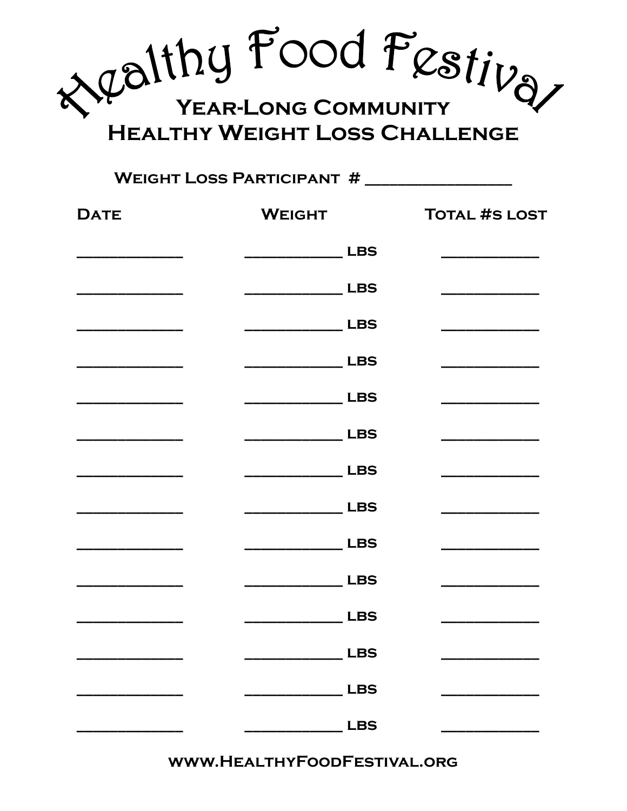reality Food Festiva YEAR-LONG COMMUNITY **HEALTHY WEIGHT LOSS CHALLENGE** 

## **WEIGHT LOSS PARTICIPANT #**

| <b>DATE</b> | <b>WEIGHT</b>          | <b>TOTAL #S LOST</b>                        |
|-------------|------------------------|---------------------------------------------|
|             | __________________ LBS |                                             |
|             | __________________ LBS |                                             |
|             | ________________ LBS   |                                             |
|             | _________________ LBS  |                                             |
|             |                        | <u> 1950 - Jan Bartha, martin de Brasil</u> |
|             |                        |                                             |
|             |                        |                                             |
|             |                        |                                             |
|             |                        |                                             |
|             |                        | <u> 1989 - Johann Barbara, martin basa</u>  |
|             |                        |                                             |
|             | ________________ LBS   |                                             |
|             | <b>LBS</b>             |                                             |
|             | <b>LBS</b>             |                                             |

WWW.HEALTHYFOODFESTIVAL.ORG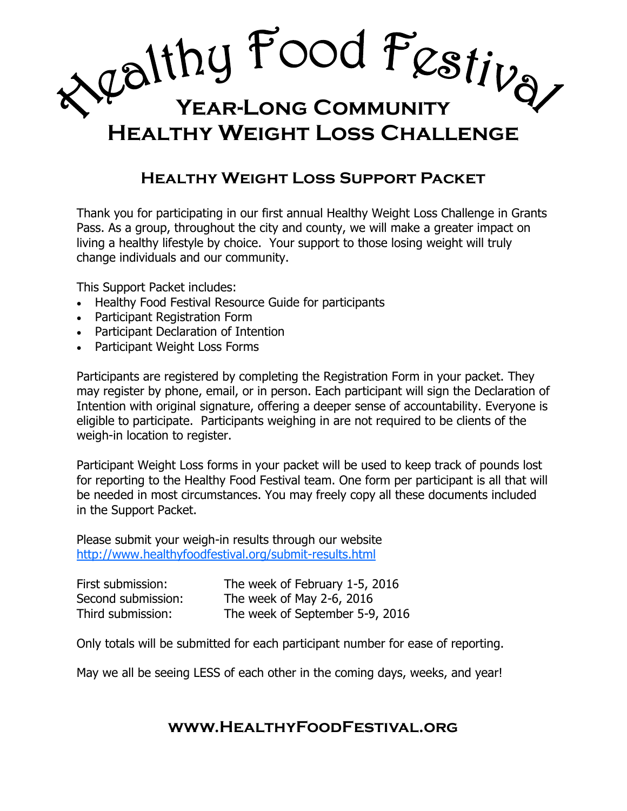**Year-Long Community**

# **Healthy Weight Loss Challenge**

# **Healthy Weight Loss Support Packet**

Thank you for participating in our first annual Healthy Weight Loss Challenge in Grants Pass. As a group, throughout the city and county, we will make a greater impact on living a healthy lifestyle by choice. Your support to those losing weight will truly change individuals and our community.

This Support Packet includes:

- Healthy Food Festival Resource Guide for participants
- Participant Registration Form
- Participant Declaration of Intention
- Participant Weight Loss Forms

Participants are registered by completing the Registration Form in your packet. They may register by phone, email, or in person. Each participant will sign the Declaration of Intention with original signature, offering a deeper sense of accountability. Everyone is eligible to participate. Participants weighing in are not required to be clients of the weigh-in location to register.

Participant Weight Loss forms in your packet will be used to keep track of pounds lost for reporting to the Healthy Food Festival team. One form per participant is all that will be needed in most circumstances. You may freely copy all these documents included in the Support Packet.

Please submit your weigh-in results through our website <http://www.healthyfoodfestival.org/submit-results.html>

| First submission:  | The week of February 1-5, 2016  |
|--------------------|---------------------------------|
| Second submission: | The week of May 2-6, 2016       |
| Third submission:  | The week of September 5-9, 2016 |

Only totals will be submitted for each participant number for ease of reporting.

May we all be seeing LESS of each other in the coming days, weeks, and year!

### **www.HealthyFoodFestival.org**